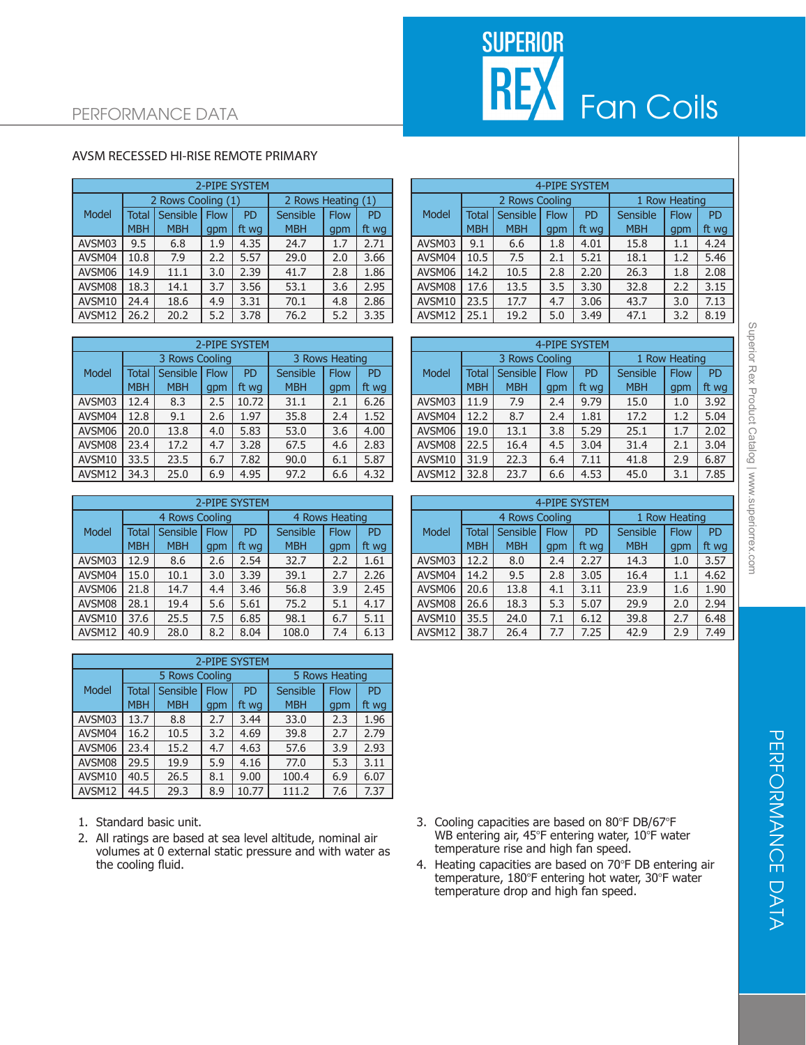# **SUPERIOR REX** Fan Coils

### PERFORMANCE DATA

#### AVSM RECESSED HI-RISE REMOTE PRIMARY

|        | 2-PIPE SYSTEM |                    |             |                    |            |             |           |  |  |  |  |  |  |
|--------|---------------|--------------------|-------------|--------------------|------------|-------------|-----------|--|--|--|--|--|--|
|        |               | 2 Rows Cooling (1) |             | 2 Rows Heating (1) |            |             |           |  |  |  |  |  |  |
| Model  | <b>Total</b>  | Sensible           | <b>Flow</b> | <b>PD</b>          | Sensible   | <b>Flow</b> | <b>PD</b> |  |  |  |  |  |  |
|        | <b>MBH</b>    | <b>MBH</b>         | gpm         | ft wg              | <b>MBH</b> | qpm         | ft wg     |  |  |  |  |  |  |
| AVSM03 | 9.5           | 6.8                | 1.9         | 4.35               | 24.7       | 1.7         | 2.71      |  |  |  |  |  |  |
| AVSM04 | 10.8          | 7.9                | 2.2         | 5.57               | 29.0       | 2.0         | 3.66      |  |  |  |  |  |  |
| AVSM06 | 14.9          | 11.1               | 3.0         | 2.39               | 41.7       | 2.8         | 1.86      |  |  |  |  |  |  |
| AVSM08 | 18.3          | 14.1               | 3.7         | 3.56               | 53.1       | 3.6         | 2.95      |  |  |  |  |  |  |
| AVSM10 | 24.4          | 18.6               | 4.9         | 3.31               | 70.1       | 4.8         | 2.86      |  |  |  |  |  |  |
| AVSM12 | 26.2          | 20.2               | 5.2         | 3.78               | 76.2       | 5.2         | 3.35      |  |  |  |  |  |  |

|        | 2-PIPE SYSTEM |                |             |                |            |             |           |  |  |  |  |  |  |
|--------|---------------|----------------|-------------|----------------|------------|-------------|-----------|--|--|--|--|--|--|
|        |               | 3 Rows Cooling |             | 3 Rows Heating |            |             |           |  |  |  |  |  |  |
| Model  | <b>Total</b>  | Sensible       | <b>Flow</b> | <b>PD</b>      | Sensible   | <b>Flow</b> | <b>PD</b> |  |  |  |  |  |  |
|        | <b>MBH</b>    | <b>MBH</b>     | gpm         | ft wg          | <b>MBH</b> | qpm         | ft wg     |  |  |  |  |  |  |
| AVSM03 | 12.4          | 8.3            | 2.5         | 10.72          | 31.1       | 2.1         | 6.26      |  |  |  |  |  |  |
| AVSM04 | 12.8          | 9.1            | 2.6         | 1.97           | 35.8       | 2.4         | 1.52      |  |  |  |  |  |  |
| AVSM06 | 20.0          | 13.8           | 4.0         | 5.83           | 53.0       | 3.6         | 4.00      |  |  |  |  |  |  |
| AVSM08 | 23.4          | 17.2           | 4.7         | 3.28           | 67.5       | 4.6         | 2.83      |  |  |  |  |  |  |
| AVSM10 | 33.5          | 23.5           | 6.7         | 7.82           | 90.0       | 6.1         | 5.87      |  |  |  |  |  |  |
| AVSM12 | 34.3          | 25.0           | 6.9         | 4.95           | 97.2       | 6.6         | 4.32      |  |  |  |  |  |  |

|        | 2-PIPE SYSTEM |                |             |           |                |             |           |  |  |  |  |  |  |
|--------|---------------|----------------|-------------|-----------|----------------|-------------|-----------|--|--|--|--|--|--|
|        |               | 4 Rows Cooling |             |           | 4 Rows Heating |             |           |  |  |  |  |  |  |
| Model  | <b>Total</b>  | Sensible       | <b>Flow</b> | <b>PD</b> | Sensible       | <b>Flow</b> | <b>PD</b> |  |  |  |  |  |  |
|        | <b>MBH</b>    | <b>MBH</b>     | qpm         | ft wg     | <b>MBH</b>     | qpm         | ft wg     |  |  |  |  |  |  |
| AVSM03 | 12.9          | 8.6            | 2.6         | 2.54      | 32.7           | 2.2         | 1.61      |  |  |  |  |  |  |
| AVSM04 | 15.0          | 10.1           | 3.0         | 3.39      | 39.1           | 2.7         | 2.26      |  |  |  |  |  |  |
| AVSM06 | 21.8          | 14.7           | 4.4         | 3.46      | 56.8           | 3.9         | 2.45      |  |  |  |  |  |  |
| AVSM08 | 28.1          | 19.4           | 5.6         | 5.61      | 75.2           | 5.1         | 4.17      |  |  |  |  |  |  |
| AVSM10 | 37.6          | 25.5           | 7.5         | 6.85      | 98.1           | 6.7         | 5.11      |  |  |  |  |  |  |
| AVSM12 | 40.9          | 28.0           | 8.2         | 8.04      | 108.0          | 7.4         | 6.13      |  |  |  |  |  |  |

| 2-PIPE SYSTEM |              |                |             |                |            |             |           |  |  |  |  |  |
|---------------|--------------|----------------|-------------|----------------|------------|-------------|-----------|--|--|--|--|--|
|               |              | 5 Rows Cooling |             | 5 Rows Heating |            |             |           |  |  |  |  |  |
| Model         | <b>Total</b> | Sensible       | <b>Flow</b> | <b>PD</b>      | Sensible   | <b>Flow</b> | <b>PD</b> |  |  |  |  |  |
|               | <b>MBH</b>   | <b>MBH</b>     | gpm         | ft wg          | <b>MBH</b> | qpm         | ft wg     |  |  |  |  |  |
| AVSM03        | 13.7         | 8.8            | 2.7         | 3.44           | 33.0       | 2.3         | 1.96      |  |  |  |  |  |
| AVSM04        | 16.2         | 10.5           | 3.2         | 4.69           | 39.8       | 2.7         | 2.79      |  |  |  |  |  |
| AVSM06        | 23.4         | 15.2           | 4.7         | 4.63           | 57.6       | 3.9         | 2.93      |  |  |  |  |  |
| AVSM08        | 29.5         | 19.9           | 5.9         | 4.16           | 77.0       | 5.3         | 3.11      |  |  |  |  |  |
| AVSM10        | 40.5         | 26.5           | 8.1         | 9.00           | 100.4      | 6.9         | 6.07      |  |  |  |  |  |
| AVSM12        | 44.5         | 29.3           | 8.9         | 10.77          | 111.2      | 7.6         | 7.37      |  |  |  |  |  |

- 1. Standard basic unit.
- 2. All ratings are based at sea level altitude, nominal air volumes at 0 external static pressure and with water as the cooling fluid.

|        |            |                    |             | 2-PIPE SYSTEM |                    |             |           |        |       |                |             | 4-PIPE SYSTEM |            |               |           |
|--------|------------|--------------------|-------------|---------------|--------------------|-------------|-----------|--------|-------|----------------|-------------|---------------|------------|---------------|-----------|
|        |            | 2 Rows Cooling (1) |             |               | 2 Rows Heating (1) |             |           |        |       | 2 Rows Cooling |             |               |            | 1 Row Heating |           |
| Model  | Total      | Sensible           | <b>Flow</b> | PD            | Sensible           | <b>Flow</b> | <b>PD</b> | Model  | Total | Sensible       | <b>Flow</b> | PD            | Sensible   | <b>Flow</b>   | <b>PD</b> |
|        | <b>MBH</b> | <b>MBH</b>         | qpm         | ft wa         | <b>MBH</b>         | qpm         | ft wa     |        | MBH   | <b>MBH</b>     | qpm         | ft wa         | <b>MBH</b> | gpm           | ft wg     |
| AVSM03 | 9.5        | 6.8                | 1.9         | 4.35          | 24.7               | 1.7         | 2.71      | AVSM03 | 9.1   | 6.6            | 1.8         | 4.01          | 15.8       | 1.1           | 4.24      |
| AVSM04 | 10.8       | 7.9                | 2.2         | 5.57          | 29.0               | 2.0         | 3.66      | AVSM04 | 10.5  | 7.5            | 2.1         | 5.21          | 18.1       | 1.2           | 5.46      |
| AVSM06 | 14.9       | 11.1               | 3.0         | 2.39          | 41.7               | 2.8         | 1.86      | AVSM06 | 14.2  | 10.5           | 2.8         | 2.20          | 26.3       | 1.8           | 2.08      |
| AVSM08 | 18.3       | 14.1               | 3.7         | 3.56          | 53.1               | 3.6         | 2.95      | AVSM08 | 17.6  | 13.5           | 3.5         | 3.30          | 32.8       | 2.2           | 3.15      |
| AVSM10 | 24.4       | 18.6               | 4.9         | 3.31          | 70.1               | 4.8         | 2.86      | AVSM10 | 23.5  | 17.7           | 4.7         | 3.06          | 43.7       | 3.0           | 7.13      |
| AVSM12 | 26.2       | 20.2               | 5.2         | 3.78          | 76.2               | 5.2         | 3.35      | AVSM12 | 25.1  | 19.2           | 5.0         | 3.49          | 47.1       | 3.2           | 8.19      |

|        |              |                |             | 2-PIPE SYSTEM |            |                |                |              |            |                |             | <b>4-PIPE SYSTEM</b> |            |               |           |
|--------|--------------|----------------|-------------|---------------|------------|----------------|----------------|--------------|------------|----------------|-------------|----------------------|------------|---------------|-----------|
|        |              | 3 Rows Cooling |             |               |            | 3 Rows Heating |                |              |            | 3 Rows Cooling |             |                      |            | 1 Row Heating |           |
| Model  | <b>Total</b> | Sensible       | <b>Flow</b> | <b>PD</b>     | Sensible   | <b>Flow</b>    | P <sub>D</sub> | <b>Model</b> | Total      | Sensible       | <b>Flow</b> | PD                   | Sensible   | <b>Flow</b>   | <b>PD</b> |
|        | <b>MBH</b>   | <b>MBH</b>     | qpm         | ft wa         | <b>MBH</b> | qpm            | ft wg          |              | <b>MBH</b> | <b>MBH</b>     | qpm         | ft wa                | <b>MBH</b> | gpm           | ft wg     |
| AVSM03 | 12.4         | 8.3            | 2.5         | 10.72         | 31.1       | 2.1            | 6.26           | AVSM03       | 11.9       | 7.9            | 2.4         | 9.79                 | 15.0       | 1.0           | 3.92      |
| AVSM04 | 12.8         | 9.1            | 2.6         | 1.97          | 35.8       | 2.4            | 1.52           | AVSM04       | 12.2       | 8.7            | 2.4         | 1.81                 | 17.2       | 1.2           | 5.04      |
| AVSM06 | 20.0         | 13.8           | 4.0         | 5.83          | 53.0       | 3.6            | 4.00           | AVSM06       | 19.0       | 13.1           | 3.8         | 5.29                 | 25.1       | 1.7           | 2.02      |
| AVSM08 | 23.4         | 17.2           | 4.7         | 3.28          | 67.5       | 4.6            | 2.83           | AVSM08       | 22.5       | 16.4           | 4.5         | 3.04                 | 31.4       | 2.1           | 3.04      |
| AVSM10 | 33.5         | 23.5           | 6.7         | 7.82          | 90.0       | 6.1            | 5.87           | AVSM10       | 31.9       | 22.3           | 6.4         | 7.11                 | 41.8       | 2.9           | 6.87      |
| AVSM12 | 34.3         | 25.0           | 6.9         | 4.95          | 97.2       | 6.6            | 4.32           | AVSM12       | 32.8       | 23.7           | 6.6         | 4.53                 | 45.0       | 3.1           | 7.85      |

|        |                |            |             | 2-PIPE SYSTEM |                |             |           | <b>4-PIPE SYSTEM</b> |            |                |             |       |            |                    |           |
|--------|----------------|------------|-------------|---------------|----------------|-------------|-----------|----------------------|------------|----------------|-------------|-------|------------|--------------------|-----------|
|        | 4 Rows Cooling |            |             |               | 4 Rows Heating |             |           |                      |            | 4 Rows Cooling |             |       |            | <b>Row Heating</b> |           |
| Model  | Total          | Sensible   | <b>Flow</b> | <b>PD</b>     | Sensible       | <b>Flow</b> | <b>PD</b> | Model                | Total      | Sensible       | <b>Flow</b> | PD    | Sensible   | <b>Flow</b>        | <b>PD</b> |
|        | <b>MBH</b>     | <b>MBH</b> | qpm         | ft wg         | <b>MBH</b>     | qpm         | ft wg     |                      | <b>MBH</b> | <b>MBH</b>     | qpm         | ft wa | <b>MBH</b> | gpm                | ft wg     |
| AVSM03 | 12.9           | 8.6        | 2.6         | 2.54          | 32.7           | 2.2         | 1.61      | AVSM03               | 12.2       | 8.0            | 2.4         | 2.27  | 14.3       | 1.0                | 3.57      |
| AVSM04 | 15.0           | 10.1       | 3.0         | 3.39          | 39.1           | 2.7         | 2.26      | AVSM04               | 14.2       | 9.5            | 2.8         | 3.05  | 16.4       | 1.1                | 4.62      |
| AVSM06 | 21.8           | 14.7       | 4.4         | 3.46          | 56.8           | 3.9         | 2.45      | AVSM06               | 20.6       | 13.8           | 4.1         | 3.11  | 23.9       | 1.6                | 1.90      |
| AVSM08 | 28.1           | 19.4       | 5.6         | 5.61          | 75.2           | 5.1         | 4.17      | AVSM08               | 26.6       | 18.3           | 5.3         | 5.07  | 29.9       | 2.0                | 2.94      |
| AVSM10 | 37.6           | 25.5       | 7.5         | 6.85          | 98.1           | 6.7         | 5.11      | AVSM10               | 35.5       | 24.0           | 7.1         | 6.12  | 39.8       | 2.7                | 6.48      |
| AVSM12 | 40.9           | 28.0       | 8.2         | 8.04          | 108.0          | 7.4         | 6.13      | AVSM12               | 38.7       | 26.4           | 7.7         | 7.25  | 42.9       | 2.9                | 7.49      |

- 3. Cooling capacities are based on 80°F DB/67°F WB entering air, 45°F entering water, 10°F water temperature rise and high fan speed.
- 4. Heating capacities are based on 70°F DB entering air temperature, 180°F entering hot water, 30°F water temperature drop and high fan speed.